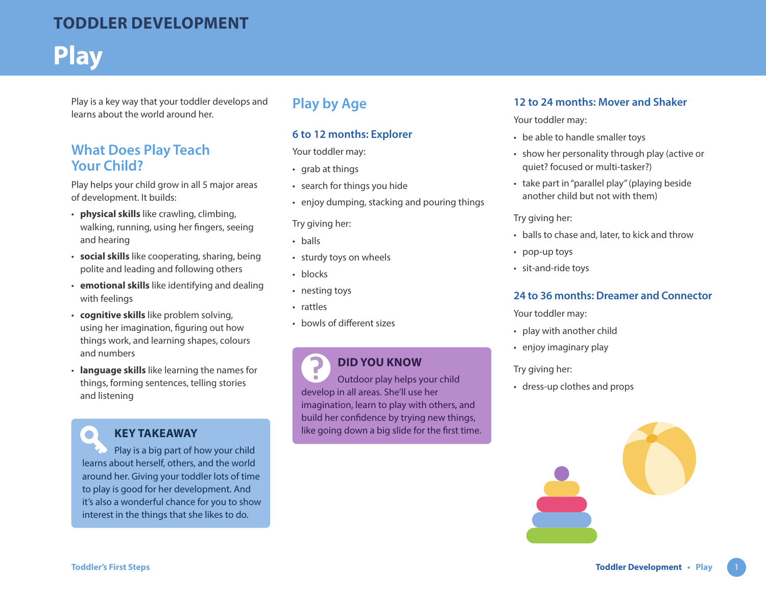## **TODDLER DEVELOPMENT**

# **Play**

Play is a key way that your toddler develops and learns about the world around her.

## **What Does Play Teach Your Child?**

Play helps your child grow in all 5 major areas of development. It builds:

- **physical skills** like crawling, climbing, walking, running, using her fingers, seeing and hearing
- **social skills** like cooperating, sharing, being polite and leading and following others
- **emotional skills** like identifying and dealing with feelings
- **cognitive skills** like problem solving, using her imagination, figuring out how things work, and learning shapes, colours and numbers
- **language skills** like learning the names for things, forming sentences, telling stories and listening

## **KEY TAKEAWAY**

Play is a big part of how your child learns about herself, others, and the world around her. Giving your toddler lots of time to play is good for her development. And it's also a wonderful chance for you to show interest in the things that she likes to do.

## **Play by Age**

#### **6 to 12 months: Explorer**

Your toddler may:

- grab at things
- search for things you hide
- enjoy dumping, stacking and pouring things

Try giving her:

- balls
- sturdy toys on wheels
- blocks
- nesting toys
- rattles
- bowls of different sizes

#### 7 **DID YOU KNOW**

Outdoor play helps your child  $\bigcirc$ develop in all areas. She'll use her imagination, learn to play with others, and build her confidence by trying new things, like going down a big slide for the first time.

#### **12 to 24 months: Mover and Shaker**

Your toddler may:

- be able to handle smaller toys
- show her personality through play (active or quiet? focused or multi-tasker?)
- take part in "parallel play" (playing beside another child but not with them)

Try giving her:

- balls to chase and, later, to kick and throw
- pop-up toys
- sit-and-ride toys

#### **24 to 36 months: Dreamer and Connector**

Your toddler may:

- play with another child
- enjoy imaginary play

#### Try giving her:

• dress-up clothes and props



 $\bullet$